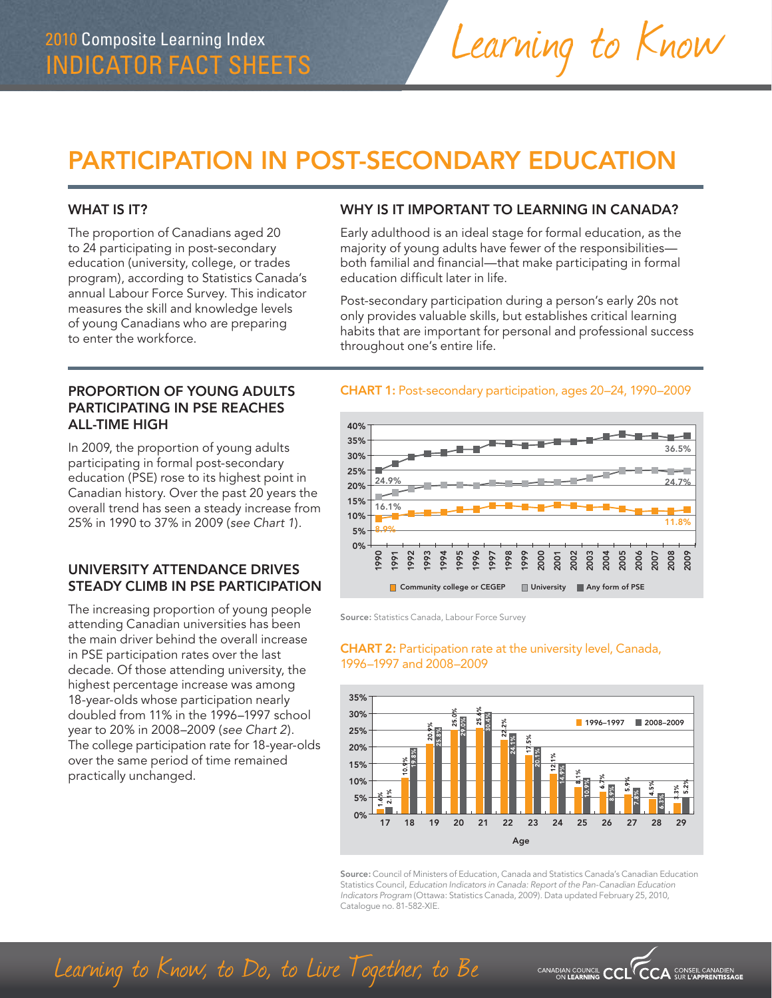# PARTICIPATION IN POST-SECONDARY EDUCATION

#### WHAT IS **IT?**

The proportion of Canadians aged 20 to 24 participating in post-secondary education (university, college, or trades program), according to Statistics Canada's annual Labour Force Survey. This indicator measures the skill and knowledge levels of young Canadians who are preparing to enter the workforce.

#### WHY IS IT IMPORTANT TO LEARNING IN CANADA?

Learning to Know

Early adulthood is an ideal stage for formal education, as the majority of young adults have fewer of the responsibilities both familial and financial—that make participating in formal education difficult later in life.

Post-secondary participation during a person's early 20s not only provides valuable skills, but establishes critical learning habits that are important for personal and professional success throughout one's entire life.

#### PROPORTION OF YOUNG ADULTS PARTICIPATING IN PSE REACHES ALL-TIME HIGH

In 2009, the proportion of young adults participating in formal post-secondary education (PSE) rose to its highest point in Canadian history. Over the past 20 years the overall trend has seen a steady increase from 25% in 1990 to 37% in 2009 (*see Chart 1*)*.*

## UNIVERSITY ATTENDANCE DRIVES STEADY CLIMB IN PSE PARTICIPATION

The increasing proportion of young people attending Canadian universities has been the main driver behind the overall increase in PSE participation rates over the last decade. Of those attending university, the highest percentage increase was among 18-year-olds whose participation nearly doubled from 11% in the 1996–1997 school year to 20% in 2008–2009 (*see Chart 2*). The college participation rate for 18-year-olds over the same period of time remained practically unchanged.

#### CHART 1: Post-secondary participation, ages 20–24, 1990–2009



Source: Statistics Canada, Labour Force Survey

#### CHART 2: Participation rate at the university level, Canada, 1996–1997 and 2008–2009



Source: Council of Ministers of Education, Canada and Statistics Canada's Canadian Education Statistics Council, *Education Indicators in Canada: Report of the Pan-Canadian Education Indicators Program* (Ottawa: Statistics Canada, 2009). Data updated February 25, 2010, Catalogue no. 81-582-XIE.

CANADIAN COUNCIL  $\mathsf{CCL}^\vee$ 

**CCA** CONSEIL CANADIEN

Learning to Know, to Do, to Live Together, to Be